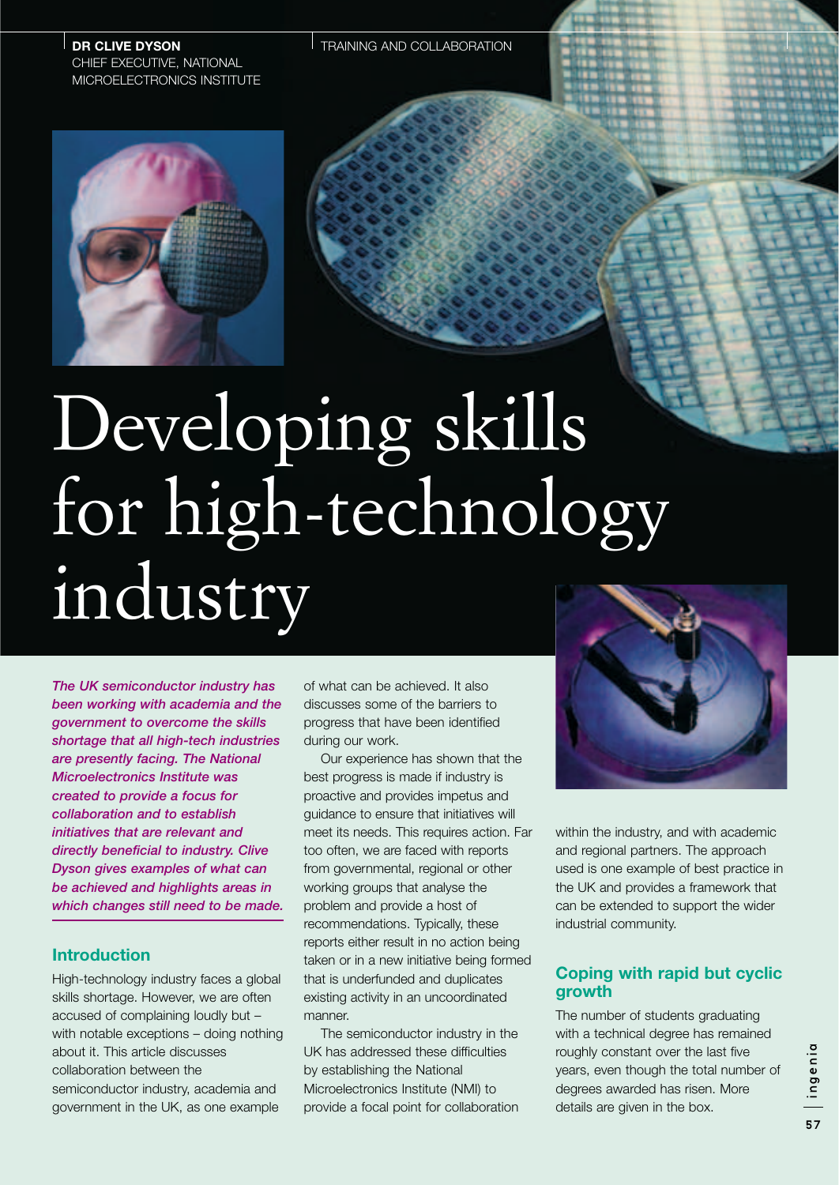**DR CLIVE DYSON** CHIEF EXECUTIVE, NATIONAL MICROELECTRONICS INSTITUTE



# Developing skills for high-technology industry

*The UK semiconductor industry has been working with academia and the government to overcome the skills shortage that all high-tech industries are presently facing. The National Microelectronics Institute was created to provide a focus for collaboration and to establish initiatives that are relevant and directly beneficial to industry. Clive Dyson gives examples of what can be achieved and highlights areas in which changes still need to be made.*

### **Introduction**

High-technology industry faces a global skills shortage. However, we are often accused of complaining loudly but – with notable exceptions – doing nothing about it. This article discusses collaboration between the semiconductor industry, academia and government in the UK, as one example

of what can be achieved. It also discusses some of the barriers to progress that have been identified during our work.

Our experience has shown that the best progress is made if industry is proactive and provides impetus and guidance to ensure that initiatives will meet its needs. This requires action. Far too often, we are faced with reports from governmental, regional or other working groups that analyse the problem and provide a host of recommendations. Typically, these reports either result in no action being taken or in a new initiative being formed that is underfunded and duplicates existing activity in an uncoordinated manner.

The semiconductor industry in the UK has addressed these difficulties by establishing the National Microelectronics Institute (NMI) to provide a focal point for collaboration



within the industry, and with academic and regional partners. The approach used is one example of best practice in the UK and provides a framework that can be extended to support the wider industrial community.

# **Coping with rapid but cyclic growth**

The number of students graduating with a technical degree has remained roughly constant over the last five years, even though the total number of degrees awarded has risen. More details are given in the box.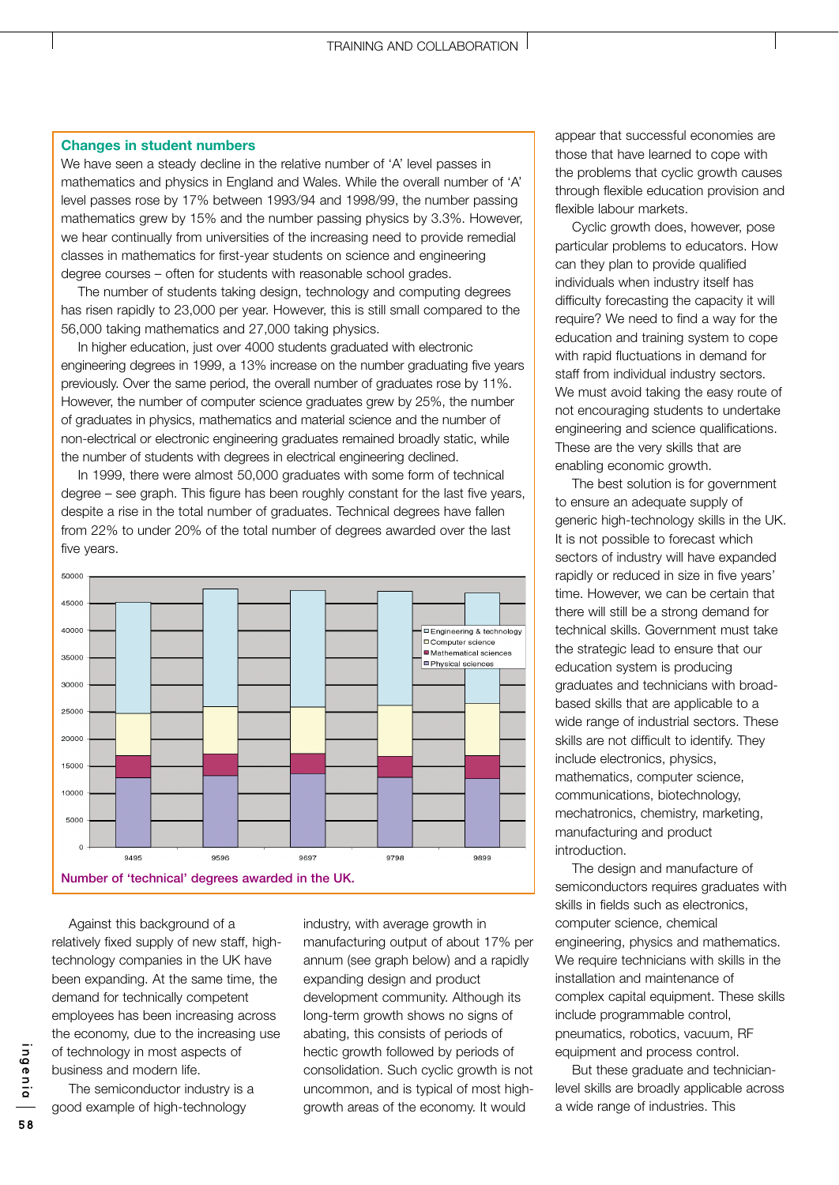### **Changes in student numbers**

We have seen a steady decline in the relative number of 'A' level passes in mathematics and physics in England and Wales. While the overall number of 'A' level passes rose by 17% between 1993/94 and 1998/99, the number passing mathematics grew by 15% and the number passing physics by 3.3%. However, we hear continually from universities of the increasing need to provide remedial classes in mathematics for first-year students on science and engineering degree courses – often for students with reasonable school grades.

The number of students taking design, technology and computing degrees has risen rapidly to 23,000 per year. However, this is still small compared to the 56,000 taking mathematics and 27,000 taking physics.

In higher education, just over 4000 students graduated with electronic engineering degrees in 1999, a 13% increase on the number graduating five years previously. Over the same period, the overall number of graduates rose by 11%. However, the number of computer science graduates grew by 25%, the number of graduates in physics, mathematics and material science and the number of non-electrical or electronic engineering graduates remained broadly static, while the number of students with degrees in electrical engineering declined.

In 1999, there were almost 50,000 graduates with some form of technical degree – see graph. This figure has been roughly constant for the last five years, despite a rise in the total number of graduates. Technical degrees have fallen from 22% to under 20% of the total number of degrees awarded over the last five years.



Against this background of a relatively fixed supply of new staff, hightechnology companies in the UK have been expanding. At the same time, the demand for technically competent employees has been increasing across the economy, due to the increasing use of technology in most aspects of business and modern life.

The semiconductor industry is a good example of high-technology

industry, with average growth in manufacturing output of about 17% per annum (see graph below) and a rapidly expanding design and product development community. Although its long-term growth shows no signs of abating, this consists of periods of hectic growth followed by periods of consolidation. Such cyclic growth is not uncommon, and is typical of most highgrowth areas of the economy. It would

appear that successful economies are those that have learned to cope with the problems that cyclic growth causes through flexible education provision and flexible labour markets.

Cyclic growth does, however, pose particular problems to educators. How can they plan to provide qualified individuals when industry itself has difficulty forecasting the capacity it will require? We need to find a way for the education and training system to cope with rapid fluctuations in demand for staff from individual industry sectors. We must avoid taking the easy route of not encouraging students to undertake engineering and science qualifications. These are the very skills that are enabling economic growth.

The best solution is for government to ensure an adequate supply of generic high-technology skills in the UK. It is not possible to forecast which sectors of industry will have expanded rapidly or reduced in size in five years' time. However, we can be certain that there will still be a strong demand for technical skills. Government must take the strategic lead to ensure that our education system is producing graduates and technicians with broadbased skills that are applicable to a wide range of industrial sectors. These skills are not difficult to identify. They include electronics, physics, mathematics, computer science, communications, biotechnology, mechatronics, chemistry, marketing, manufacturing and product introduction.

The design and manufacture of semiconductors requires graduates with skills in fields such as electronics, computer science, chemical engineering, physics and mathematics. We require technicians with skills in the installation and maintenance of complex capital equipment. These skills include programmable control, pneumatics, robotics, vacuum, RF equipment and process control.

But these graduate and technicianlevel skills are broadly applicable across a wide range of industries. This

ingenia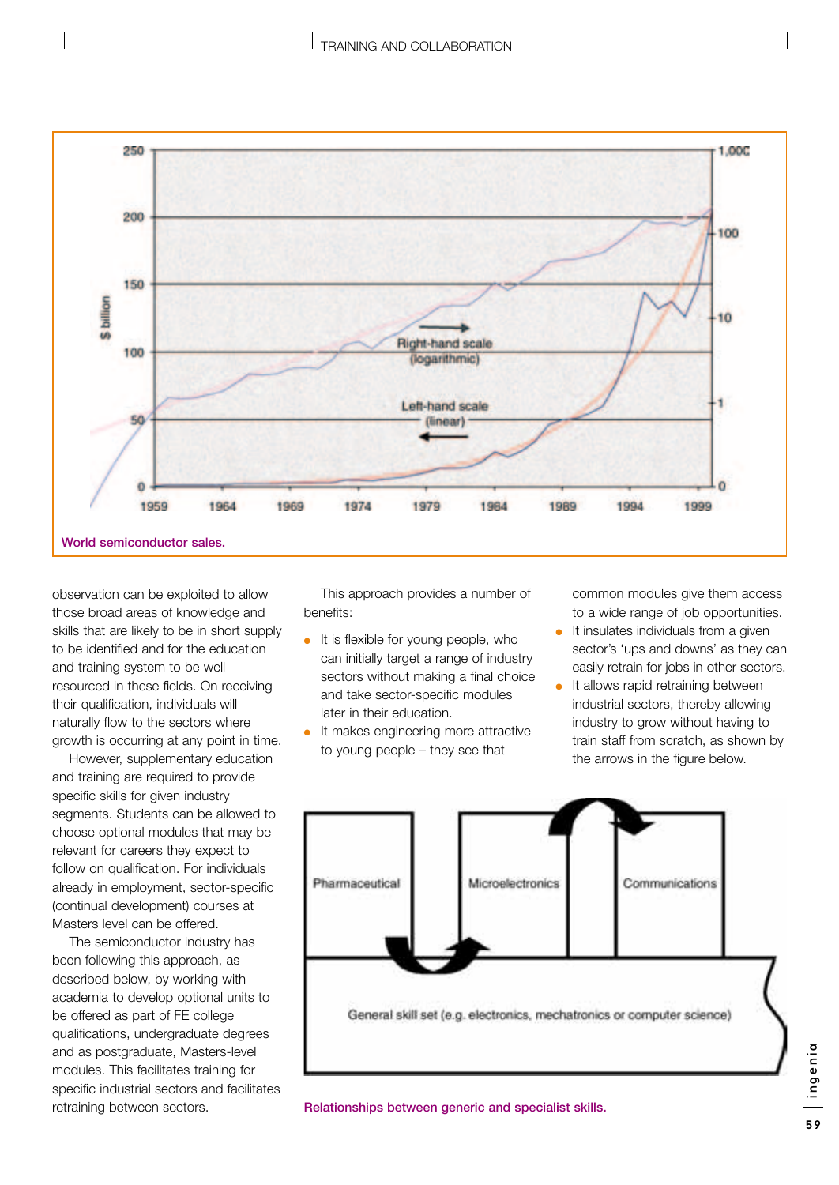

observation can be exploited to allow those broad areas of knowledge and skills that are likely to be in short supply to be identified and for the education and training system to be well resourced in these fields. On receiving their qualification, individuals will naturally flow to the sectors where growth is occurring at any point in time.

However, supplementary education and training are required to provide specific skills for given industry segments. Students can be allowed to choose optional modules that may be relevant for careers they expect to follow on qualification. For individuals already in employment, sector-specific (continual development) courses at Masters level can be offered.

The semiconductor industry has been following this approach, as described below, by working with academia to develop optional units to be offered as part of FE college qualifications, undergraduate degrees and as postgraduate, Masters-level modules. This facilitates training for specific industrial sectors and facilitates retraining between sectors.

This approach provides a number of benefits:

- $\bullet$  It is flexible for young people, who can initially target a range of industry sectors without making a final choice and take sector-specific modules later in their education.
- It makes engineering more attractive to young people – they see that

common modules give them access to a wide range of job opportunities.

- It insulates individuals from a given sector's 'ups and downs' as they can easily retrain for jobs in other sectors.
- It allows rapid retraining between industrial sectors, thereby allowing industry to grow without having to train staff from scratch, as shown by the arrows in the figure below.



**Relationships between generic and specialist skills.**

ingenia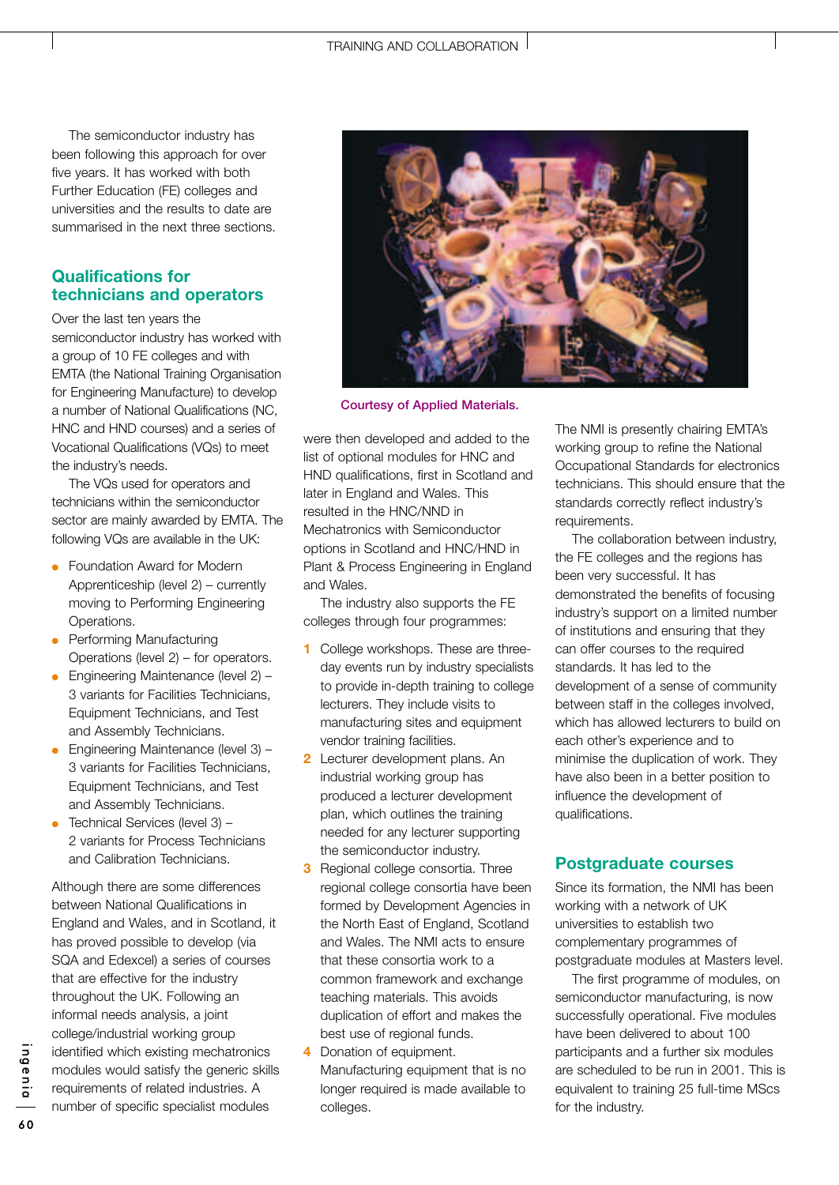The semiconductor industry has been following this approach for over five years. It has worked with both Further Education (FE) colleges and universities and the results to date are summarised in the next three sections.

# **Qualifications for technicians and operators**

Over the last ten years the semiconductor industry has worked with a group of 10 FE colleges and with EMTA (the National Training Organisation for Engineering Manufacture) to develop a number of National Qualifications (NC, HNC and HND courses) and a series of Vocational Qualifications (VQs) to meet the industry's needs.

The VQs used for operators and technicians within the semiconductor sector are mainly awarded by EMTA. The following VQs are available in the UK:

- Foundation Award for Modern Apprenticeship (level 2) – currently moving to Performing Engineering Operations.
- Performing Manufacturing Operations (level 2) – for operators.
- $\bullet$  Engineering Maintenance (level 2) -3 variants for Facilities Technicians, Equipment Technicians, and Test and Assembly Technicians.
- $\bullet$  Engineering Maintenance (level 3) -3 variants for Facilities Technicians, Equipment Technicians, and Test and Assembly Technicians.
- $\bullet$  Technical Services (level 3) -2 variants for Process Technicians and Calibration Technicians.

Although there are some differences between National Qualifications in England and Wales, and in Scotland, it has proved possible to develop (via SQA and Edexcel) a series of courses that are effective for the industry throughout the UK. Following an informal needs analysis, a joint college/industrial working group identified which existing mechatronics modules would satisfy the generic skills requirements of related industries. A number of specific specialist modules



**Courtesy of Applied Materials.**

were then developed and added to the list of optional modules for HNC and HND qualifications, first in Scotland and later in England and Wales. This resulted in the HNC/NND in Mechatronics with Semiconductor options in Scotland and HNC/HND in Plant & Process Engineering in England and Wales.

The industry also supports the FE colleges through four programmes:

- **1** College workshops. These are threeday events run by industry specialists to provide in-depth training to college lecturers. They include visits to manufacturing sites and equipment vendor training facilities.
- **2** Lecturer development plans. An industrial working group has produced a lecturer development plan, which outlines the training needed for any lecturer supporting the semiconductor industry.
- **3** Regional college consortia. Three regional college consortia have been formed by Development Agencies in the North East of England, Scotland and Wales. The NMI acts to ensure that these consortia work to a common framework and exchange teaching materials. This avoids duplication of effort and makes the best use of regional funds.
- **4** Donation of equipment. Manufacturing equipment that is no longer required is made available to colleges.

The NMI is presently chairing EMTA's working group to refine the National Occupational Standards for electronics technicians. This should ensure that the standards correctly reflect industry's requirements.

The collaboration between industry, the FE colleges and the regions has been very successful. It has demonstrated the benefits of focusing industry's support on a limited number of institutions and ensuring that they can offer courses to the required standards. It has led to the development of a sense of community between staff in the colleges involved, which has allowed lecturers to build on each other's experience and to minimise the duplication of work. They have also been in a better position to influence the development of qualifications.

### **Postgraduate courses**

Since its formation, the NMI has been working with a network of UK universities to establish two complementary programmes of postgraduate modules at Masters level.

The first programme of modules, on semiconductor manufacturing, is now successfully operational. Five modules have been delivered to about 100 participants and a further six modules are scheduled to be run in 2001. This is equivalent to training 25 full-time MScs for the industry.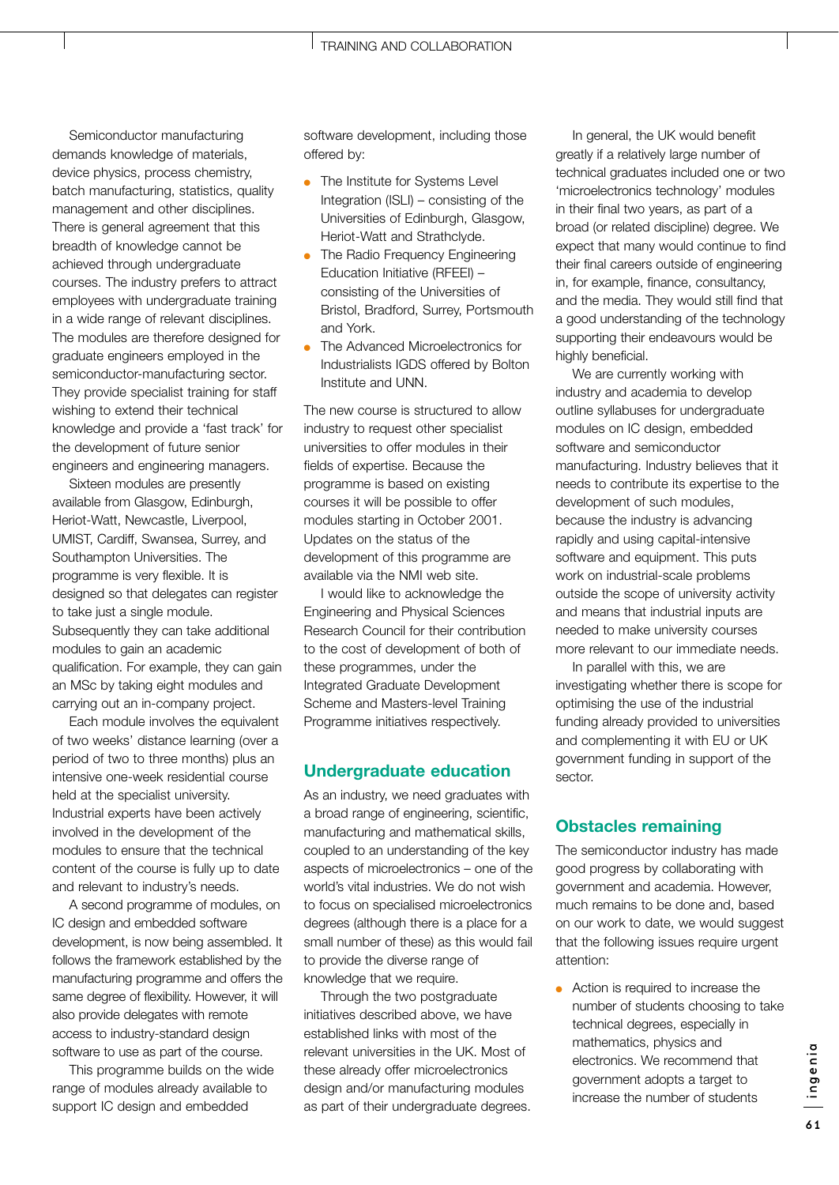Semiconductor manufacturing demands knowledge of materials, device physics, process chemistry, batch manufacturing, statistics, quality management and other disciplines. There is general agreement that this breadth of knowledge cannot be achieved through undergraduate courses. The industry prefers to attract employees with undergraduate training in a wide range of relevant disciplines. The modules are therefore designed for graduate engineers employed in the semiconductor-manufacturing sector. They provide specialist training for staff wishing to extend their technical knowledge and provide a 'fast track' for the development of future senior engineers and engineering managers.

Sixteen modules are presently available from Glasgow, Edinburgh, Heriot-Watt, Newcastle, Liverpool, UMIST, Cardiff, Swansea, Surrey, and Southampton Universities. The programme is very flexible. It is designed so that delegates can register to take just a single module. Subsequently they can take additional modules to gain an academic qualification. For example, they can gain an MSc by taking eight modules and carrying out an in-company project.

Each module involves the equivalent of two weeks' distance learning (over a period of two to three months) plus an intensive one-week residential course held at the specialist university. Industrial experts have been actively involved in the development of the modules to ensure that the technical content of the course is fully up to date and relevant to industry's needs.

A second programme of modules, on IC design and embedded software development, is now being assembled. It follows the framework established by the manufacturing programme and offers the same degree of flexibility. However, it will also provide delegates with remote access to industry-standard design software to use as part of the course.

This programme builds on the wide range of modules already available to support IC design and embedded

software development, including those offered by:

- The Institute for Systems Level Integration (ISLI) – consisting of the Universities of Edinburgh, Glasgow, Heriot-Watt and Strathclyde.
- The Radio Frequency Engineering Education Initiative (RFEEI) – consisting of the Universities of Bristol, Bradford, Surrey, Portsmouth and York.
- The Advanced Microelectronics for Industrialists IGDS offered by Bolton Institute and UNN.

The new course is structured to allow industry to request other specialist universities to offer modules in their fields of expertise. Because the programme is based on existing courses it will be possible to offer modules starting in October 2001. Updates on the status of the development of this programme are available via the NMI web site.

I would like to acknowledge the Engineering and Physical Sciences Research Council for their contribution to the cost of development of both of these programmes, under the Integrated Graduate Development Scheme and Masters-level Training Programme initiatives respectively.

### **Undergraduate education**

As an industry, we need graduates with a broad range of engineering, scientific, manufacturing and mathematical skills, coupled to an understanding of the key aspects of microelectronics – one of the world's vital industries. We do not wish to focus on specialised microelectronics degrees (although there is a place for a small number of these) as this would fail to provide the diverse range of knowledge that we require.

Through the two postgraduate initiatives described above, we have established links with most of the relevant universities in the UK. Most of these already offer microelectronics design and/or manufacturing modules as part of their undergraduate degrees.

In general, the UK would benefit greatly if a relatively large number of technical graduates included one or two 'microelectronics technology' modules in their final two years, as part of a broad (or related discipline) degree. We expect that many would continue to find their final careers outside of engineering in, for example, finance, consultancy, and the media. They would still find that a good understanding of the technology supporting their endeavours would be highly beneficial.

We are currently working with industry and academia to develop outline syllabuses for undergraduate modules on IC design, embedded software and semiconductor manufacturing. Industry believes that it needs to contribute its expertise to the development of such modules, because the industry is advancing rapidly and using capital-intensive software and equipment. This puts work on industrial-scale problems outside the scope of university activity and means that industrial inputs are needed to make university courses more relevant to our immediate needs.

In parallel with this, we are investigating whether there is scope for optimising the use of the industrial funding already provided to universities and complementing it with EU or UK government funding in support of the sector.

### **Obstacles remaining**

The semiconductor industry has made good progress by collaborating with government and academia. However, much remains to be done and, based on our work to date, we would suggest that the following issues require urgent attention:

● Action is required to increase the number of students choosing to take technical degrees, especially in mathematics, physics and electronics. We recommend that government adopts a target to increase the number of students